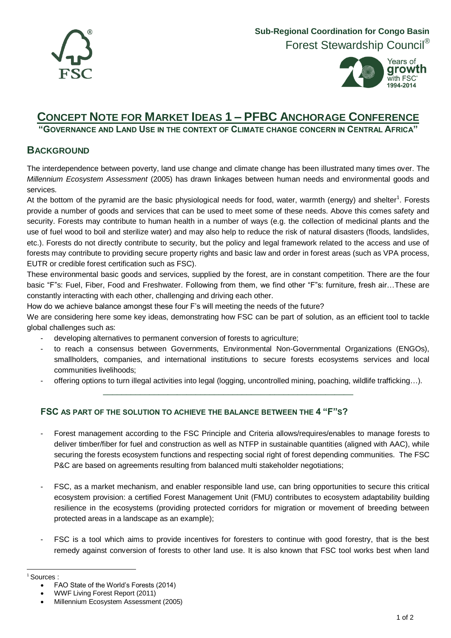



## **CONCEPT NOTE FOR MARKET IDEAS 1 – PFBC ANCHORAGE CONFERENCE**

**"GOVERNANCE AND LAND USE IN THE CONTEXT OF CLIMATE CHANGE CONCERN IN CENTRAL AFRICA"**

## **BACKGROUND**

The interdependence between poverty, land use change and climate change has been illustrated many times over. The *Millennium Ecosystem Assessment* (2005) has drawn linkages between human needs and environmental goods and services.

At the bottom of the pyramid are the basic physiological needs for food, water, warmth (energy) and shelter $^1$ . Forests provide a number of goods and services that can be used to meet some of these needs. Above this comes safety and security. Forests may contribute to human health in a number of ways (e.g. the collection of medicinal plants and the use of fuel wood to boil and sterilize water) and may also help to reduce the risk of natural disasters (floods, landslides, etc.). Forests do not directly contribute to security, but the policy and legal framework related to the access and use of forests may contribute to providing secure property rights and basic law and order in forest areas (such as VPA process, EUTR or credible forest certification such as FSC).

These environmental basic goods and services, supplied by the forest, are in constant competition. There are the four basic "F"s: Fuel, Fiber, Food and Freshwater. Following from them, we find other "F"s: furniture, fresh air…These are constantly interacting with each other, challenging and driving each other.

How do we achieve balance amongst these four F's will meeting the needs of the future?

We are considering here some key ideas, demonstrating how FSC can be part of solution, as an efficient tool to tackle global challenges such as:

- developing alternatives to permanent conversion of forests to agriculture;
- to reach a consensus between Governments, Environmental Non-Governmental Organizations (ENGOs), smallholders, companies, and international institutions to secure forests ecosystems services and local communities livelihoods;
- offering options to turn illegal activities into legal (logging, uncontrolled mining, poaching, wildlife trafficking…). \_\_\_\_\_\_\_\_\_\_\_\_\_\_\_\_\_\_\_\_\_\_\_\_\_\_\_\_\_\_\_\_\_\_\_\_\_\_\_\_\_\_\_\_\_\_\_\_\_\_\_\_\_\_

## **FSC AS PART OF THE SOLUTION TO ACHIEVE THE BALANCE BETWEEN THE 4 "F"S?**

- Forest management according to the FSC Principle and Criteria allows/requires/enables to manage forests to deliver timber/fiber for fuel and construction as well as NTFP in sustainable quantities (aligned with AAC), while securing the forests ecosystem functions and respecting social right of forest depending communities. The FSC P&C are based on agreements resulting from balanced multi stakeholder negotiations;
- FSC, as a market mechanism, and enabler responsible land use, can bring opportunities to secure this critical ecosystem provision: a certified Forest Management Unit (FMU) contributes to ecosystem adaptability building resilience in the ecosystems (providing protected corridors for migration or movement of breeding between protected areas in a landscape as an example);
- FSC is a tool which aims to provide incentives for foresters to continue with good forestry, that is the best remedy against conversion of forests to other land use. It is also known that FSC tool works best when land

 <sup>1</sup> Sources :

FAO State of the World's Forests (2014)

WWF Living Forest Report (2011)

Millennium Ecosystem Assessment (2005)